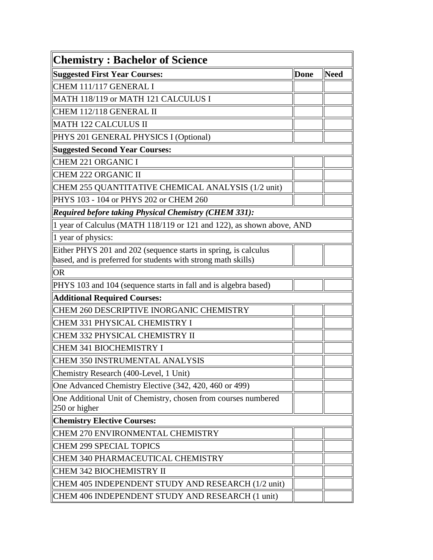| <b>Chemistry: Bachelor of Science</b>                                 |      |             |
|-----------------------------------------------------------------------|------|-------------|
| Suggested First Year Courses:                                         | Done | <b>Need</b> |
| CHEM 111/117 GENERAL I                                                |      |             |
| MATH 118/119 or MATH 121 CALCULUS I                                   |      |             |
| CHEM 112/118 GENERAL II                                               |      |             |
| MATH 122 CALCULUS II                                                  |      |             |
| PHYS 201 GENERAL PHYSICS I (Optional)                                 |      |             |
| Suggested Second Year Courses:                                        |      |             |
| CHEM 221 ORGANIC I                                                    |      |             |
| CHEM 222 ORGANIC II                                                   |      |             |
| CHEM 255 QUANTITATIVE CHEMICAL ANALYSIS (1/2 unit)                    |      |             |
| PHYS 103 - 104 or PHYS 202 or CHEM 260                                |      |             |
| <b>Required before taking Physical Chemistry (CHEM 331):</b>          |      |             |
| 1 year of Calculus (MATH 118/119 or 121 and 122), as shown above, AND |      |             |
| $\ $ 1 year of physics:                                               |      |             |
| Either PHYS 201 and 202 (sequence starts in spring, is calculus       |      |             |
| based, and is preferred for students with strong math skills)         |      |             |
| OR                                                                    |      |             |
| PHYS 103 and 104 (sequence starts in fall and is algebra based)       |      |             |
| Additional Required Courses:                                          |      |             |
| CHEM 260 DESCRIPTIVE INORGANIC CHEMISTRY                              |      |             |
| CHEM 331 PHYSICAL CHEMISTRY I                                         |      |             |
| CHEM 332 PHYSICAL CHEMISTRY II                                        |      |             |
| CHEM 341 BIOCHEMISTRY I                                               |      |             |
| CHEM 350 INSTRUMENTAL ANALYSIS                                        |      |             |
| Chemistry Research (400-Level, 1 Unit)                                |      |             |
| One Advanced Chemistry Elective (342, 420, 460 or 499)                |      |             |
| One Additional Unit of Chemistry, chosen from courses numbered        |      |             |
| 250 or higher                                                         |      |             |
| <b>Chemistry Elective Courses:</b>                                    |      |             |
| CHEM 270 ENVIRONMENTAL CHEMISTRY                                      |      |             |
| CHEM 299 SPECIAL TOPICS                                               |      |             |
| CHEM 340 PHARMACEUTICAL CHEMISTRY                                     |      |             |
| CHEM 342 BIOCHEMISTRY II                                              |      |             |
| CHEM 405 INDEPENDENT STUDY AND RESEARCH (1/2 unit)                    |      |             |
| CHEM 406 INDEPENDENT STUDY AND RESEARCH (1 unit)                      |      |             |